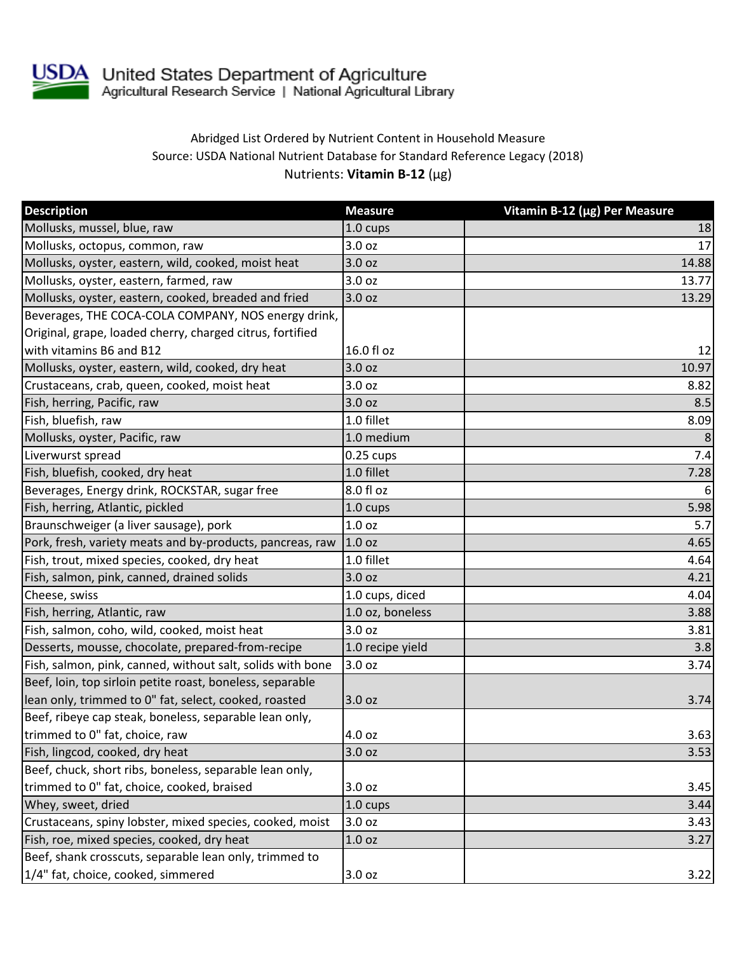

## Abridged List Ordered by Nutrient Content in Household Measure Source: USDA National Nutrient Database for Standard Reference Legacy (2018) Nutrients: **Vitamin B-12** (µg)

| <b>Description</b>                                         | <b>Measure</b>     | Vitamin B-12 (µg) Per Measure |
|------------------------------------------------------------|--------------------|-------------------------------|
| Mollusks, mussel, blue, raw                                | 1.0 cups           | 18                            |
| Mollusks, octopus, common, raw                             | 3.0 oz             | 17                            |
| Mollusks, oyster, eastern, wild, cooked, moist heat        | 3.0 oz             | 14.88                         |
| Mollusks, oyster, eastern, farmed, raw                     | 3.0 oz             | 13.77                         |
| Mollusks, oyster, eastern, cooked, breaded and fried       | 3.0 oz             | 13.29                         |
| Beverages, THE COCA-COLA COMPANY, NOS energy drink,        |                    |                               |
| Original, grape, loaded cherry, charged citrus, fortified  |                    |                               |
| with vitamins B6 and B12                                   | 16.0 fl oz         | 12                            |
| Mollusks, oyster, eastern, wild, cooked, dry heat          | 3.0 oz             | 10.97                         |
| Crustaceans, crab, queen, cooked, moist heat               | 3.0 oz             | 8.82                          |
| Fish, herring, Pacific, raw                                | 3.0 oz             | 8.5                           |
| Fish, bluefish, raw                                        | 1.0 fillet         | 8.09                          |
| Mollusks, oyster, Pacific, raw                             | 1.0 medium         | 8                             |
| Liverwurst spread                                          | $0.25$ cups        | 7.4                           |
| Fish, bluefish, cooked, dry heat                           | 1.0 fillet         | 7.28                          |
| Beverages, Energy drink, ROCKSTAR, sugar free              | 8.0 fl oz          | 6                             |
| Fish, herring, Atlantic, pickled                           | $1.0 \text{ cups}$ | 5.98                          |
| Braunschweiger (a liver sausage), pork                     | 1.0 oz             | 5.7                           |
| Pork, fresh, variety meats and by-products, pancreas, raw  | 1.0 <sub>oz</sub>  | 4.65                          |
| Fish, trout, mixed species, cooked, dry heat               | 1.0 fillet         | 4.64                          |
| Fish, salmon, pink, canned, drained solids                 | 3.0 oz             | 4.21                          |
| Cheese, swiss                                              | 1.0 cups, diced    | 4.04                          |
| Fish, herring, Atlantic, raw                               | 1.0 oz, boneless   | 3.88                          |
| Fish, salmon, coho, wild, cooked, moist heat               | 3.0 oz             | 3.81                          |
| Desserts, mousse, chocolate, prepared-from-recipe          | 1.0 recipe yield   | 3.8                           |
| Fish, salmon, pink, canned, without salt, solids with bone | 3.0 oz             | 3.74                          |
| Beef, loin, top sirloin petite roast, boneless, separable  |                    |                               |
| lean only, trimmed to 0" fat, select, cooked, roasted      | 3.0 oz             | 3.74                          |
| Beef, ribeye cap steak, boneless, separable lean only,     |                    |                               |
| trimmed to 0" fat, choice, raw                             | 4.0 oz             | 3.63                          |
| Fish, lingcod, cooked, dry heat                            | 3.0 oz             | 3.53                          |
| Beef, chuck, short ribs, boneless, separable lean only,    |                    |                               |
| trimmed to 0" fat, choice, cooked, braised                 | 3.0 oz             | 3.45                          |
| Whey, sweet, dried                                         | 1.0 cups           | 3.44                          |
| Crustaceans, spiny lobster, mixed species, cooked, moist   | 3.0 oz             | 3.43                          |
| Fish, roe, mixed species, cooked, dry heat                 | 1.0 oz             | 3.27                          |
| Beef, shank crosscuts, separable lean only, trimmed to     |                    |                               |
| 1/4" fat, choice, cooked, simmered                         | 3.0 oz             | 3.22                          |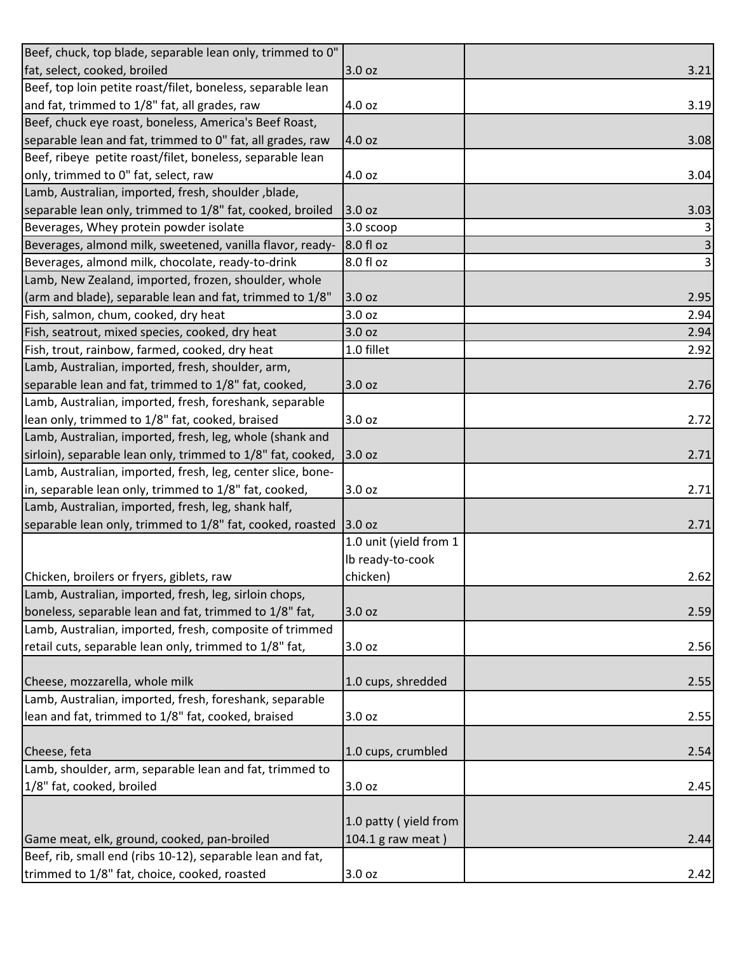| Beef, chuck, top blade, separable lean only, trimmed to 0"  |                        |      |
|-------------------------------------------------------------|------------------------|------|
| fat, select, cooked, broiled                                | 3.0 oz                 | 3.21 |
| Beef, top loin petite roast/filet, boneless, separable lean |                        |      |
| and fat, trimmed to 1/8" fat, all grades, raw               | 4.0 oz                 | 3.19 |
| Beef, chuck eye roast, boneless, America's Beef Roast,      |                        |      |
| separable lean and fat, trimmed to 0" fat, all grades, raw  | 4.0 oz                 | 3.08 |
| Beef, ribeye petite roast/filet, boneless, separable lean   |                        |      |
| only, trimmed to 0" fat, select, raw                        | 4.0 oz                 | 3.04 |
| Lamb, Australian, imported, fresh, shoulder, blade,         |                        |      |
| separable lean only, trimmed to 1/8" fat, cooked, broiled   | 3.0 oz                 | 3.03 |
| Beverages, Whey protein powder isolate                      | $3.0$ scoop            | 3    |
| Beverages, almond milk, sweetened, vanilla flavor, ready-   | 8.0 fl oz              | 3    |
| Beverages, almond milk, chocolate, ready-to-drink           | 8.0 fl oz              | 3    |
| Lamb, New Zealand, imported, frozen, shoulder, whole        |                        |      |
| (arm and blade), separable lean and fat, trimmed to 1/8"    | 3.0 oz                 | 2.95 |
| Fish, salmon, chum, cooked, dry heat                        | 3.0 oz                 | 2.94 |
| Fish, seatrout, mixed species, cooked, dry heat             | 3.0 oz                 | 2.94 |
| Fish, trout, rainbow, farmed, cooked, dry heat              | 1.0 fillet             | 2.92 |
| Lamb, Australian, imported, fresh, shoulder, arm,           |                        |      |
| separable lean and fat, trimmed to 1/8" fat, cooked,        | 3.0 oz                 | 2.76 |
| Lamb, Australian, imported, fresh, foreshank, separable     |                        |      |
| lean only, trimmed to 1/8" fat, cooked, braised             | 3.0 oz                 | 2.72 |
| Lamb, Australian, imported, fresh, leg, whole (shank and    |                        |      |
| sirloin), separable lean only, trimmed to 1/8" fat, cooked, | 3.0 oz                 | 2.71 |
| Lamb, Australian, imported, fresh, leg, center slice, bone- |                        |      |
| in, separable lean only, trimmed to 1/8" fat, cooked,       | 3.0 oz                 | 2.71 |
| Lamb, Australian, imported, fresh, leg, shank half,         |                        |      |
| separable lean only, trimmed to 1/8" fat, cooked, roasted   | 3.0 oz                 | 2.71 |
|                                                             | 1.0 unit (yield from 1 |      |
|                                                             | Ib ready-to-cook       |      |
| Chicken, broilers or fryers, giblets, raw                   | chicken)               | 2.62 |
| Lamb, Australian, imported, fresh, leg, sirloin chops,      |                        |      |
| boneless, separable lean and fat, trimmed to 1/8" fat,      | 3.0 oz                 | 2.59 |
| Lamb, Australian, imported, fresh, composite of trimmed     |                        |      |
| retail cuts, separable lean only, trimmed to 1/8" fat,      | 3.0 oz                 | 2.56 |
|                                                             |                        |      |
| Cheese, mozzarella, whole milk                              | 1.0 cups, shredded     | 2.55 |
| Lamb, Australian, imported, fresh, foreshank, separable     |                        |      |
| lean and fat, trimmed to 1/8" fat, cooked, braised          | 3.0 oz                 | 2.55 |
|                                                             |                        |      |
| Cheese, feta                                                | 1.0 cups, crumbled     | 2.54 |
| Lamb, shoulder, arm, separable lean and fat, trimmed to     |                        |      |
| 1/8" fat, cooked, broiled                                   | 3.0 oz                 | 2.45 |
|                                                             |                        |      |
|                                                             | 1.0 patty (yield from  |      |
| Game meat, elk, ground, cooked, pan-broiled                 | 104.1 g raw meat)      | 2.44 |
| Beef, rib, small end (ribs 10-12), separable lean and fat,  |                        |      |
| trimmed to 1/8" fat, choice, cooked, roasted                | 3.0 oz                 | 2.42 |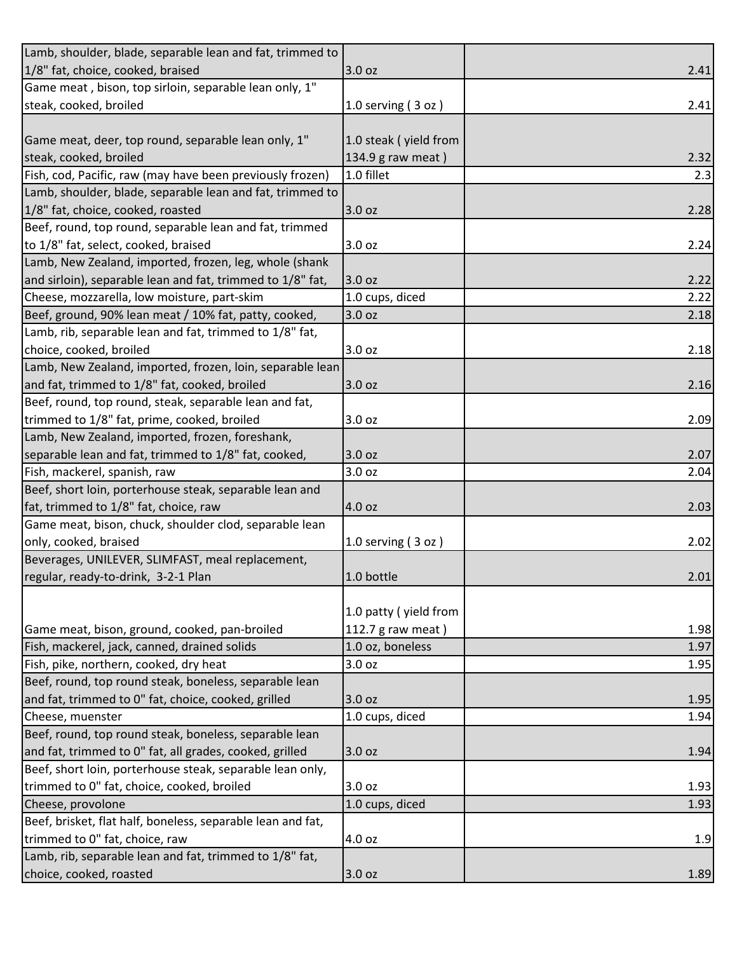| Lamb, shoulder, blade, separable lean and fat, trimmed to   |                       |      |
|-------------------------------------------------------------|-----------------------|------|
| 1/8" fat, choice, cooked, braised                           | 3.0 oz                | 2.41 |
| Game meat, bison, top sirloin, separable lean only, 1"      |                       |      |
| steak, cooked, broiled                                      | 1.0 serving $(3 oz)$  | 2.41 |
|                                                             |                       |      |
| Game meat, deer, top round, separable lean only, 1"         | 1.0 steak (yield from |      |
| steak, cooked, broiled                                      | 134.9 g raw meat)     | 2.32 |
| Fish, cod, Pacific, raw (may have been previously frozen)   | 1.0 fillet            | 2.3  |
| Lamb, shoulder, blade, separable lean and fat, trimmed to   |                       |      |
| 1/8" fat, choice, cooked, roasted                           | 3.0 oz                | 2.28 |
| Beef, round, top round, separable lean and fat, trimmed     |                       |      |
| to 1/8" fat, select, cooked, braised                        | 3.0 oz                | 2.24 |
| Lamb, New Zealand, imported, frozen, leg, whole (shank      |                       |      |
| and sirloin), separable lean and fat, trimmed to 1/8" fat,  | 3.0 oz                | 2.22 |
| Cheese, mozzarella, low moisture, part-skim                 | 1.0 cups, diced       | 2.22 |
| Beef, ground, 90% lean meat / 10% fat, patty, cooked,       | 3.0 oz                | 2.18 |
| Lamb, rib, separable lean and fat, trimmed to 1/8" fat,     |                       |      |
| choice, cooked, broiled                                     | 3.0 oz                | 2.18 |
| Lamb, New Zealand, imported, frozen, loin, separable lean   |                       |      |
| and fat, trimmed to 1/8" fat, cooked, broiled               | 3.0 oz                | 2.16 |
| Beef, round, top round, steak, separable lean and fat,      |                       |      |
| trimmed to 1/8" fat, prime, cooked, broiled                 | 3.0 oz                | 2.09 |
| Lamb, New Zealand, imported, frozen, foreshank,             |                       |      |
| separable lean and fat, trimmed to 1/8" fat, cooked,        | 3.0 oz                | 2.07 |
| Fish, mackerel, spanish, raw                                | 3.0 oz                | 2.04 |
| Beef, short loin, porterhouse steak, separable lean and     |                       |      |
| fat, trimmed to 1/8" fat, choice, raw                       | 4.0 oz                | 2.03 |
| Game meat, bison, chuck, shoulder clod, separable lean      |                       |      |
| only, cooked, braised                                       | 1.0 serving $(3 oz)$  | 2.02 |
| Beverages, UNILEVER, SLIMFAST, meal replacement,            |                       |      |
| regular, ready-to-drink, 3-2-1 Plan                         | 1.0 bottle            | 2.01 |
|                                                             |                       |      |
|                                                             | 1.0 patty (yield from |      |
| Game meat, bison, ground, cooked, pan-broiled               | 112.7 g raw meat)     | 1.98 |
| Fish, mackerel, jack, canned, drained solids                | 1.0 oz, boneless      | 1.97 |
| Fish, pike, northern, cooked, dry heat                      | 3.0 oz                | 1.95 |
| Beef, round, top round steak, boneless, separable lean      |                       |      |
| and fat, trimmed to 0" fat, choice, cooked, grilled         | 3.0 oz                | 1.95 |
| Cheese, muenster                                            | 1.0 cups, diced       | 1.94 |
| Beef, round, top round steak, boneless, separable lean      |                       |      |
| and fat, trimmed to 0" fat, all grades, cooked, grilled     | 3.0 oz                | 1.94 |
| Beef, short loin, porterhouse steak, separable lean only,   |                       |      |
| trimmed to 0" fat, choice, cooked, broiled                  | 3.0 oz                | 1.93 |
| Cheese, provolone                                           | 1.0 cups, diced       | 1.93 |
| Beef, brisket, flat half, boneless, separable lean and fat, |                       |      |
| trimmed to 0" fat, choice, raw                              | 4.0 oz                | 1.9  |
| Lamb, rib, separable lean and fat, trimmed to 1/8" fat,     |                       |      |
| choice, cooked, roasted                                     | 3.0 oz                | 1.89 |
|                                                             |                       |      |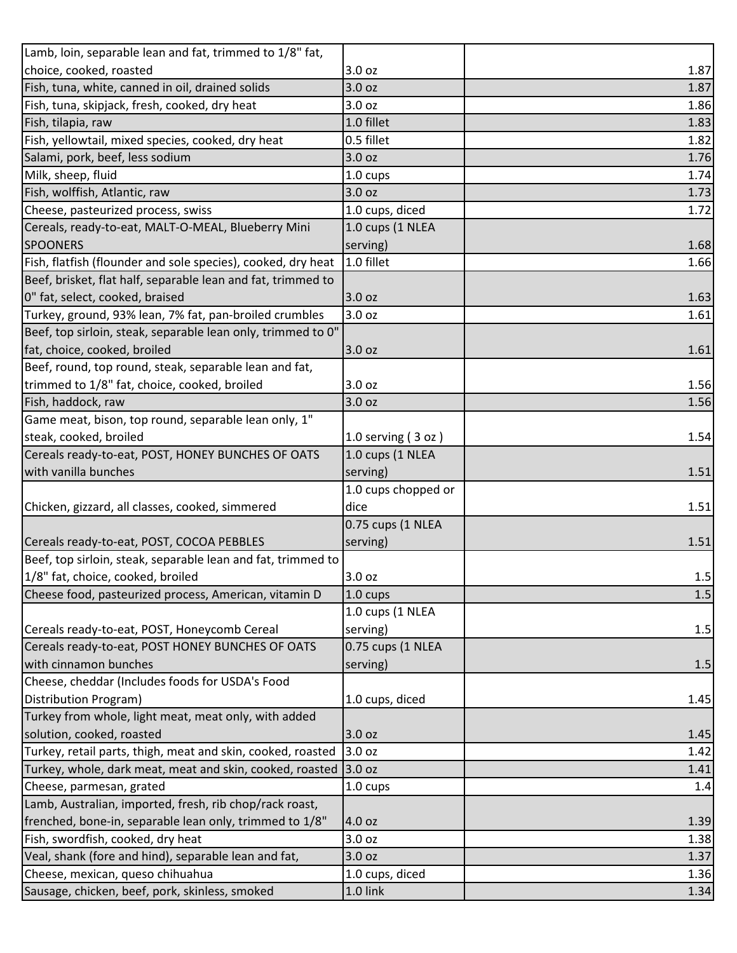| Lamb, loin, separable lean and fat, trimmed to 1/8" fat,     |                      |       |
|--------------------------------------------------------------|----------------------|-------|
| choice, cooked, roasted                                      | 3.0 oz               | 1.87  |
| Fish, tuna, white, canned in oil, drained solids             | 3.0 oz               | 1.87  |
| Fish, tuna, skipjack, fresh, cooked, dry heat                | 3.0 oz               | 1.86  |
| Fish, tilapia, raw                                           | 1.0 fillet           | 1.83  |
| Fish, yellowtail, mixed species, cooked, dry heat            | 0.5 fillet           | 1.82  |
| Salami, pork, beef, less sodium                              | 3.0 oz               | 1.76  |
| Milk, sheep, fluid                                           | 1.0 cups             | 1.74  |
| Fish, wolffish, Atlantic, raw                                | 3.0 oz               | 1.73  |
| Cheese, pasteurized process, swiss                           | 1.0 cups, diced      | 1.72  |
| Cereals, ready-to-eat, MALT-O-MEAL, Blueberry Mini           | 1.0 cups (1 NLEA     |       |
| <b>SPOONERS</b>                                              | serving)             | 1.68  |
| Fish, flatfish (flounder and sole species), cooked, dry heat | 1.0 fillet           | 1.66  |
| Beef, brisket, flat half, separable lean and fat, trimmed to |                      |       |
| 0" fat, select, cooked, braised                              | 3.0 oz               | 1.63  |
| Turkey, ground, 93% lean, 7% fat, pan-broiled crumbles       | 3.0 oz               | 1.61  |
| Beef, top sirloin, steak, separable lean only, trimmed to 0" |                      |       |
| fat, choice, cooked, broiled                                 | 3.0 oz               | 1.61  |
| Beef, round, top round, steak, separable lean and fat,       |                      |       |
| trimmed to 1/8" fat, choice, cooked, broiled                 | 3.0 oz               | 1.56  |
| Fish, haddock, raw                                           | 3.0 oz               | 1.56  |
| Game meat, bison, top round, separable lean only, 1"         |                      |       |
| steak, cooked, broiled                                       | 1.0 serving $(3 oz)$ | 1.54  |
| Cereals ready-to-eat, POST, HONEY BUNCHES OF OATS            | 1.0 cups (1 NLEA     |       |
| with vanilla bunches                                         | serving)             | 1.51  |
|                                                              | 1.0 cups chopped or  |       |
| Chicken, gizzard, all classes, cooked, simmered              | dice                 | 1.51  |
|                                                              | 0.75 cups (1 NLEA    |       |
| Cereals ready-to-eat, POST, COCOA PEBBLES                    | serving)             | 1.51  |
| Beef, top sirloin, steak, separable lean and fat, trimmed to |                      |       |
| 1/8" fat, choice, cooked, broiled                            | 3.0 oz               | 1.5   |
| Cheese food, pasteurized process, American, vitamin D        | 1.0 cups             | $1.5$ |
|                                                              | 1.0 cups (1 NLEA     |       |
| Cereals ready-to-eat, POST, Honeycomb Cereal                 | serving)             | 1.5   |
| Cereals ready-to-eat, POST HONEY BUNCHES OF OATS             | 0.75 cups (1 NLEA    |       |
| with cinnamon bunches                                        | serving)             | 1.5   |
| Cheese, cheddar (Includes foods for USDA's Food              |                      |       |
| Distribution Program)                                        | 1.0 cups, diced      | 1.45  |
| Turkey from whole, light meat, meat only, with added         |                      |       |
| solution, cooked, roasted                                    | 3.0 oz               | 1.45  |
| Turkey, retail parts, thigh, meat and skin, cooked, roasted  | 3.0 oz               | 1.42  |
| Turkey, whole, dark meat, meat and skin, cooked, roasted     | 3.0 oz               | 1.41  |
| Cheese, parmesan, grated                                     | 1.0 cups             | 1.4   |
| Lamb, Australian, imported, fresh, rib chop/rack roast,      |                      |       |
| frenched, bone-in, separable lean only, trimmed to 1/8"      | 4.0 oz               | 1.39  |
| Fish, swordfish, cooked, dry heat                            | 3.0 oz               | 1.38  |
| Veal, shank (fore and hind), separable lean and fat,         | 3.0 oz               | 1.37  |
| Cheese, mexican, queso chihuahua                             | 1.0 cups, diced      | 1.36  |
| Sausage, chicken, beef, pork, skinless, smoked               | 1.0 link             | 1.34  |
|                                                              |                      |       |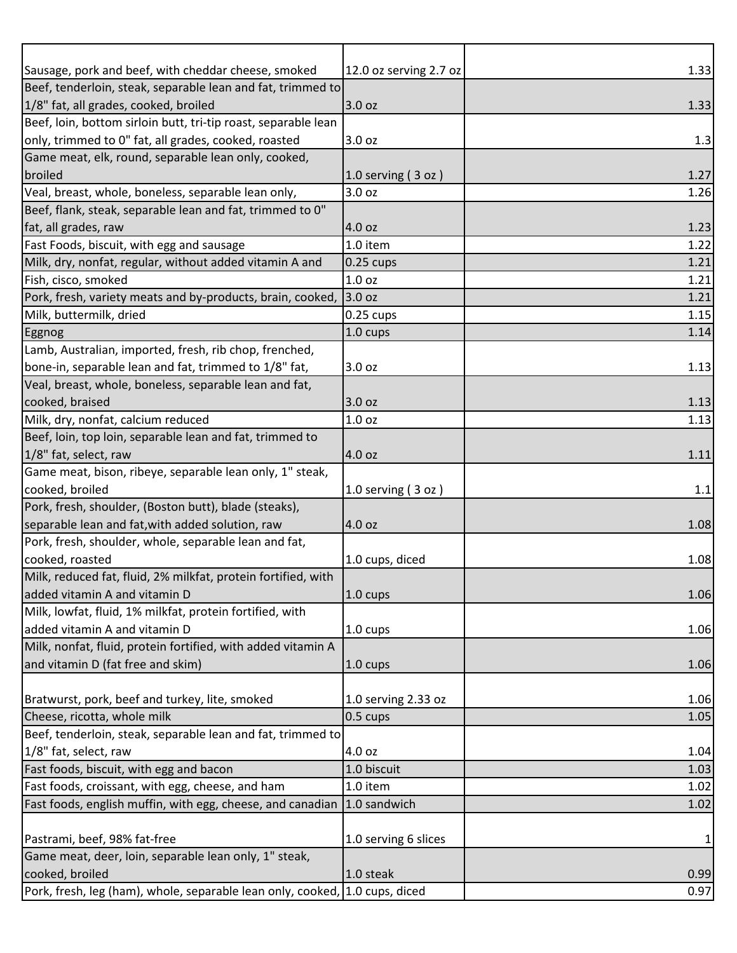| Sausage, pork and beef, with cheddar cheese, smoked                         | 12.0 oz serving 2.7 oz          | 1.33 |
|-----------------------------------------------------------------------------|---------------------------------|------|
| Beef, tenderloin, steak, separable lean and fat, trimmed to                 |                                 |      |
| 1/8" fat, all grades, cooked, broiled                                       | 3.0 oz                          | 1.33 |
| Beef, loin, bottom sirloin butt, tri-tip roast, separable lean              |                                 |      |
| only, trimmed to 0" fat, all grades, cooked, roasted                        | 3.0 oz                          | 1.3  |
| Game meat, elk, round, separable lean only, cooked,                         |                                 |      |
| broiled                                                                     | 1.0 serving $(3 oz)$            | 1.27 |
| Veal, breast, whole, boneless, separable lean only,                         | 3.0 oz                          | 1.26 |
| Beef, flank, steak, separable lean and fat, trimmed to 0"                   |                                 |      |
| fat, all grades, raw                                                        | 4.0 oz                          | 1.23 |
| Fast Foods, biscuit, with egg and sausage                                   | 1.0 item                        | 1.22 |
| Milk, dry, nonfat, regular, without added vitamin A and                     | $0.25$ cups                     | 1.21 |
| Fish, cisco, smoked                                                         | 1.0 oz                          | 1.21 |
| Pork, fresh, variety meats and by-products, brain, cooked,                  | 3.0 oz                          | 1.21 |
| Milk, buttermilk, dried                                                     | $0.25$ cups                     | 1.15 |
| Eggnog                                                                      | 1.0 cups                        | 1.14 |
| Lamb, Australian, imported, fresh, rib chop, frenched,                      |                                 |      |
| bone-in, separable lean and fat, trimmed to 1/8" fat,                       | 3.0 oz                          | 1.13 |
| Veal, breast, whole, boneless, separable lean and fat,                      |                                 |      |
| cooked, braised                                                             | 3.0 oz                          | 1.13 |
| Milk, dry, nonfat, calcium reduced                                          | 1.0 oz                          | 1.13 |
| Beef, loin, top loin, separable lean and fat, trimmed to                    |                                 |      |
| 1/8" fat, select, raw                                                       | 4.0 oz                          | 1.11 |
| Game meat, bison, ribeye, separable lean only, 1" steak,                    |                                 |      |
| cooked, broiled                                                             | 1.0 serving $(3 oz)$            | 1.1  |
| Pork, fresh, shoulder, (Boston butt), blade (steaks),                       |                                 |      |
| separable lean and fat, with added solution, raw                            | 4.0 oz                          | 1.08 |
| Pork, fresh, shoulder, whole, separable lean and fat,                       |                                 |      |
| cooked, roasted                                                             | 1.0 cups, diced                 | 1.08 |
| Milk, reduced fat, fluid, 2% milkfat, protein fortified, with               |                                 |      |
| added vitamin A and vitamin D                                               | 1.0 cups                        | 1.06 |
| Milk, lowfat, fluid, 1% milkfat, protein fortified, with                    |                                 |      |
| added vitamin A and vitamin D                                               | 1.0 cups                        | 1.06 |
| Milk, nonfat, fluid, protein fortified, with added vitamin A                |                                 |      |
| and vitamin D (fat free and skim)                                           | 1.0 cups                        | 1.06 |
| Bratwurst, pork, beef and turkey, lite, smoked                              |                                 | 1.06 |
| Cheese, ricotta, whole milk                                                 | 1.0 serving 2.33 oz<br>0.5 cups | 1.05 |
| Beef, tenderloin, steak, separable lean and fat, trimmed to                 |                                 |      |
| 1/8" fat, select, raw                                                       | 4.0 oz                          | 1.04 |
| Fast foods, biscuit, with egg and bacon                                     | 1.0 biscuit                     | 1.03 |
| Fast foods, croissant, with egg, cheese, and ham                            | 1.0 item                        | 1.02 |
| Fast foods, english muffin, with egg, cheese, and canadian                  | 1.0 sandwich                    | 1.02 |
|                                                                             |                                 |      |
| Pastrami, beef, 98% fat-free                                                | 1.0 serving 6 slices            | 1    |
| Game meat, deer, loin, separable lean only, 1" steak,                       |                                 |      |
| cooked, broiled                                                             | 1.0 steak                       | 0.99 |
| Pork, fresh, leg (ham), whole, separable lean only, cooked, 1.0 cups, diced |                                 | 0.97 |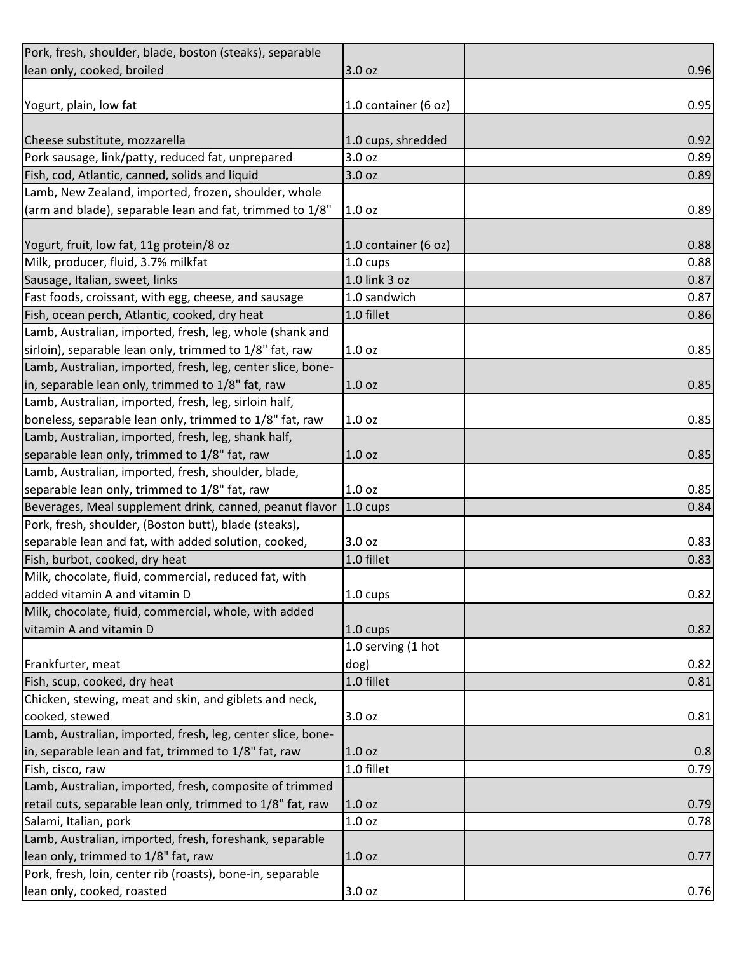| Pork, fresh, shoulder, blade, boston (steaks), separable    |                      |      |
|-------------------------------------------------------------|----------------------|------|
| lean only, cooked, broiled                                  | 3.0 oz               | 0.96 |
|                                                             |                      |      |
| Yogurt, plain, low fat                                      | 1.0 container (6 oz) | 0.95 |
|                                                             |                      |      |
| Cheese substitute, mozzarella                               | 1.0 cups, shredded   | 0.92 |
| Pork sausage, link/patty, reduced fat, unprepared           | 3.0 oz               | 0.89 |
| Fish, cod, Atlantic, canned, solids and liquid              | 3.0 oz               | 0.89 |
| Lamb, New Zealand, imported, frozen, shoulder, whole        |                      |      |
| (arm and blade), separable lean and fat, trimmed to 1/8"    | 1.0 oz               | 0.89 |
|                                                             |                      |      |
| Yogurt, fruit, low fat, 11g protein/8 oz                    | 1.0 container (6 oz) | 0.88 |
| Milk, producer, fluid, 3.7% milkfat                         | 1.0 cups             | 0.88 |
| Sausage, Italian, sweet, links                              | 1.0 link 3 oz        | 0.87 |
| Fast foods, croissant, with egg, cheese, and sausage        | 1.0 sandwich         | 0.87 |
| Fish, ocean perch, Atlantic, cooked, dry heat               | 1.0 fillet           | 0.86 |
| Lamb, Australian, imported, fresh, leg, whole (shank and    |                      |      |
| sirloin), separable lean only, trimmed to 1/8" fat, raw     | 1.0 oz               | 0.85 |
| Lamb, Australian, imported, fresh, leg, center slice, bone- |                      |      |
| in, separable lean only, trimmed to 1/8" fat, raw           | 1.0 oz               | 0.85 |
| Lamb, Australian, imported, fresh, leg, sirloin half,       |                      |      |
| boneless, separable lean only, trimmed to 1/8" fat, raw     | 1.0 oz               | 0.85 |
| Lamb, Australian, imported, fresh, leg, shank half,         |                      |      |
| separable lean only, trimmed to 1/8" fat, raw               | 1.0 oz               | 0.85 |
| Lamb, Australian, imported, fresh, shoulder, blade,         |                      |      |
| separable lean only, trimmed to 1/8" fat, raw               | 1.0 oz               | 0.85 |
| Beverages, Meal supplement drink, canned, peanut flavor     | $1.0 \text{ cups}$   | 0.84 |
| Pork, fresh, shoulder, (Boston butt), blade (steaks),       |                      |      |
| separable lean and fat, with added solution, cooked,        | 3.0 oz               | 0.83 |
| Fish, burbot, cooked, dry heat                              | 1.0 fillet           | 0.83 |
| Milk, chocolate, fluid, commercial, reduced fat, with       |                      |      |
| added vitamin A and vitamin D                               | 1.0 cups             | 0.82 |
| Milk, chocolate, fluid, commercial, whole, with added       |                      |      |
| vitamin A and vitamin D                                     | 1.0 cups             | 0.82 |
|                                                             | 1.0 serving (1 hot   |      |
| Frankfurter, meat                                           | dog)                 | 0.82 |
| Fish, scup, cooked, dry heat                                | 1.0 fillet           | 0.81 |
| Chicken, stewing, meat and skin, and giblets and neck,      |                      |      |
| cooked, stewed                                              | 3.0 oz               | 0.81 |
| Lamb, Australian, imported, fresh, leg, center slice, bone- |                      |      |
| in, separable lean and fat, trimmed to 1/8" fat, raw        | 1.0 oz               | 0.8  |
| Fish, cisco, raw                                            | 1.0 fillet           | 0.79 |
| Lamb, Australian, imported, fresh, composite of trimmed     |                      |      |
| retail cuts, separable lean only, trimmed to 1/8" fat, raw  | 1.0 oz               | 0.79 |
| Salami, Italian, pork                                       | 1.0 oz               | 0.78 |
| Lamb, Australian, imported, fresh, foreshank, separable     |                      |      |
| lean only, trimmed to 1/8" fat, raw                         | 1.0 oz               | 0.77 |
| Pork, fresh, loin, center rib (roasts), bone-in, separable  |                      |      |
| lean only, cooked, roasted                                  | 3.0 oz               | 0.76 |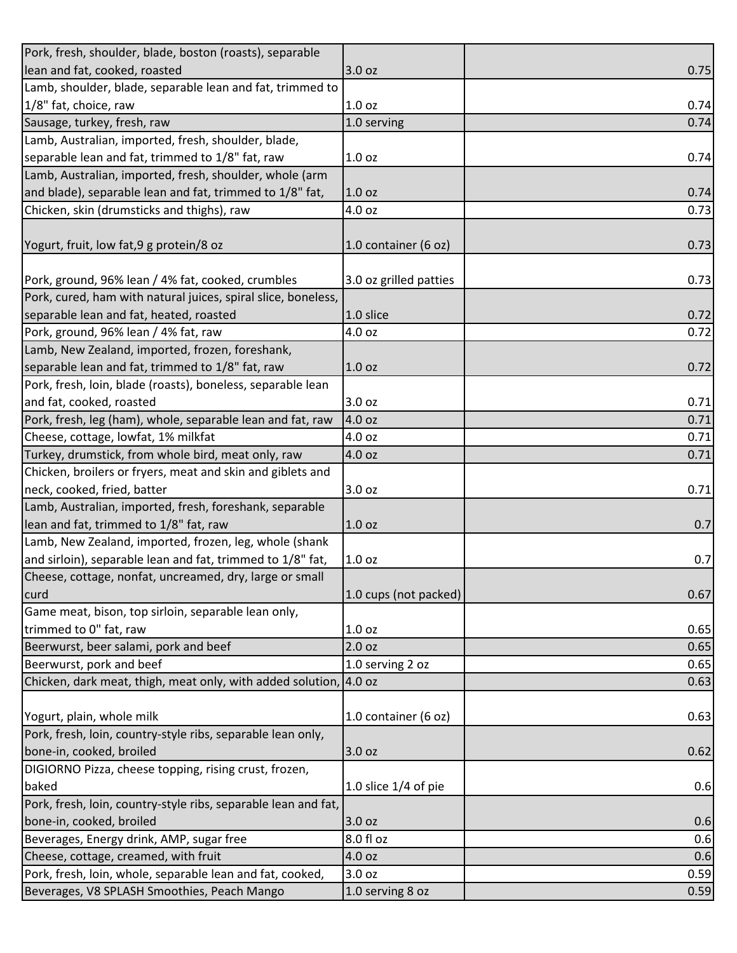| Pork, fresh, shoulder, blade, boston (roasts), separable       |                        |      |
|----------------------------------------------------------------|------------------------|------|
| lean and fat, cooked, roasted                                  | 3.0 oz                 | 0.75 |
| Lamb, shoulder, blade, separable lean and fat, trimmed to      |                        |      |
| 1/8" fat, choice, raw                                          | 1.0 oz                 | 0.74 |
| Sausage, turkey, fresh, raw                                    | 1.0 serving            | 0.74 |
| Lamb, Australian, imported, fresh, shoulder, blade,            |                        |      |
| separable lean and fat, trimmed to 1/8" fat, raw               | 1.0 oz                 | 0.74 |
| Lamb, Australian, imported, fresh, shoulder, whole (arm        |                        |      |
| and blade), separable lean and fat, trimmed to 1/8" fat,       | 1.0 <sub>oz</sub>      | 0.74 |
| Chicken, skin (drumsticks and thighs), raw                     | 4.0 oz                 | 0.73 |
|                                                                |                        |      |
| Yogurt, fruit, low fat, 9 g protein/8 oz                       | 1.0 container (6 oz)   | 0.73 |
|                                                                |                        |      |
| Pork, ground, 96% lean / 4% fat, cooked, crumbles              | 3.0 oz grilled patties | 0.73 |
| Pork, cured, ham with natural juices, spiral slice, boneless,  |                        |      |
| separable lean and fat, heated, roasted                        | 1.0 slice              | 0.72 |
| Pork, ground, 96% lean / 4% fat, raw                           | 4.0 oz                 | 0.72 |
| Lamb, New Zealand, imported, frozen, foreshank,                |                        |      |
| separable lean and fat, trimmed to 1/8" fat, raw               | 1.0 oz                 | 0.72 |
| Pork, fresh, loin, blade (roasts), boneless, separable lean    |                        |      |
| and fat, cooked, roasted                                       | 3.0 oz                 | 0.71 |
| Pork, fresh, leg (ham), whole, separable lean and fat, raw     | 4.0 oz                 | 0.71 |
| Cheese, cottage, lowfat, 1% milkfat                            | 4.0 oz                 | 0.71 |
| Turkey, drumstick, from whole bird, meat only, raw             | 4.0 oz                 | 0.71 |
| Chicken, broilers or fryers, meat and skin and giblets and     |                        |      |
| neck, cooked, fried, batter                                    | 3.0 oz                 | 0.71 |
| Lamb, Australian, imported, fresh, foreshank, separable        |                        |      |
| lean and fat, trimmed to 1/8" fat, raw                         | 1.0 oz                 | 0.7  |
| Lamb, New Zealand, imported, frozen, leg, whole (shank         |                        |      |
| and sirloin), separable lean and fat, trimmed to 1/8" fat,     | 1.0 oz                 | 0.7  |
| Cheese, cottage, nonfat, uncreamed, dry, large or small        |                        |      |
| curd                                                           | 1.0 cups (not packed)  | 0.67 |
| Game meat, bison, top sirloin, separable lean only,            |                        |      |
| trimmed to 0" fat, raw                                         | 1.0 <sub>oz</sub>      | 0.65 |
| Beerwurst, beer salami, pork and beef                          | 2.0 oz                 | 0.65 |
| Beerwurst, pork and beef                                       | 1.0 serving 2 oz       | 0.65 |
| Chicken, dark meat, thigh, meat only, with added solution,     | 4.0 oz                 | 0.63 |
| Yogurt, plain, whole milk                                      | 1.0 container (6 oz)   | 0.63 |
| Pork, fresh, loin, country-style ribs, separable lean only,    |                        |      |
| bone-in, cooked, broiled                                       | 3.0 oz                 | 0.62 |
| DIGIORNO Pizza, cheese topping, rising crust, frozen,          |                        |      |
| baked                                                          | 1.0 slice $1/4$ of pie | 0.6  |
| Pork, fresh, loin, country-style ribs, separable lean and fat, |                        |      |
| bone-in, cooked, broiled                                       | 3.0 oz                 | 0.6  |
| Beverages, Energy drink, AMP, sugar free                       | 8.0 fl oz              | 0.6  |
| Cheese, cottage, creamed, with fruit                           | 4.0 oz                 | 0.6  |
| Pork, fresh, loin, whole, separable lean and fat, cooked,      | 3.0 oz                 | 0.59 |
| Beverages, V8 SPLASH Smoothies, Peach Mango                    | 1.0 serving 8 oz       | 0.59 |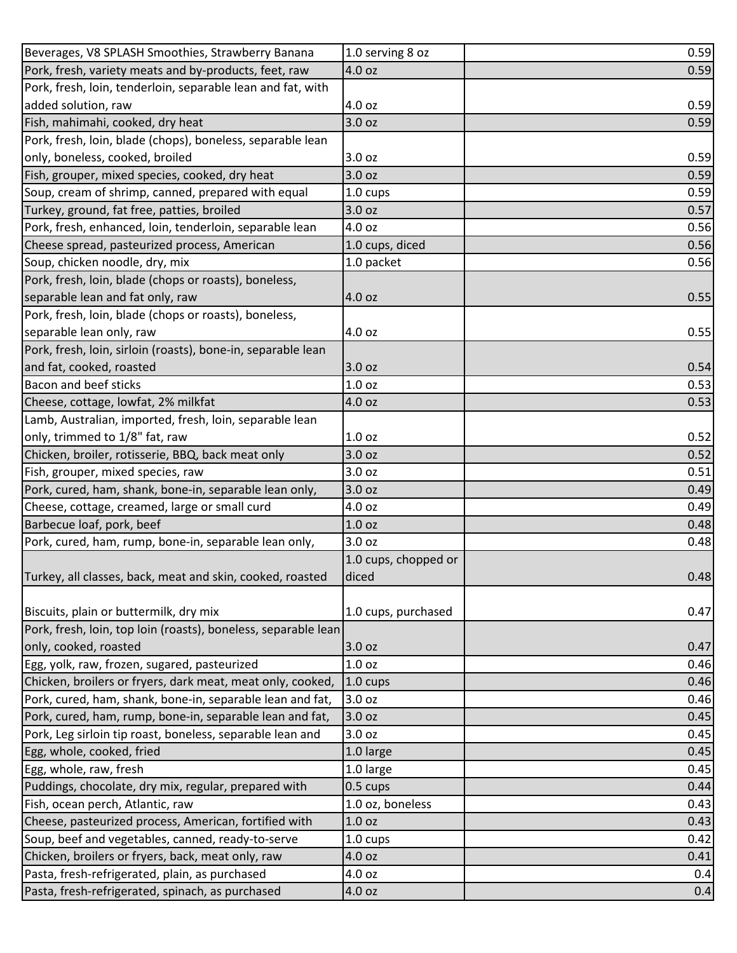| Beverages, V8 SPLASH Smoothies, Strawberry Banana              | 1.0 serving 8 oz     | 0.59 |
|----------------------------------------------------------------|----------------------|------|
| Pork, fresh, variety meats and by-products, feet, raw          | 4.0 oz               | 0.59 |
| Pork, fresh, loin, tenderloin, separable lean and fat, with    |                      |      |
| added solution, raw                                            | 4.0 oz               | 0.59 |
| Fish, mahimahi, cooked, dry heat                               | 3.0 oz               | 0.59 |
| Pork, fresh, loin, blade (chops), boneless, separable lean     |                      |      |
| only, boneless, cooked, broiled                                | 3.0 oz               | 0.59 |
| Fish, grouper, mixed species, cooked, dry heat                 | 3.0 oz               | 0.59 |
| Soup, cream of shrimp, canned, prepared with equal             | 1.0 cups             | 0.59 |
| Turkey, ground, fat free, patties, broiled                     | 3.0 oz               | 0.57 |
| Pork, fresh, enhanced, loin, tenderloin, separable lean        | 4.0 oz               | 0.56 |
| Cheese spread, pasteurized process, American                   | 1.0 cups, diced      | 0.56 |
| Soup, chicken noodle, dry, mix                                 | 1.0 packet           | 0.56 |
| Pork, fresh, loin, blade (chops or roasts), boneless,          |                      |      |
| separable lean and fat only, raw                               | 4.0 oz               | 0.55 |
| Pork, fresh, loin, blade (chops or roasts), boneless,          |                      |      |
| separable lean only, raw                                       | 4.0 oz               | 0.55 |
| Pork, fresh, loin, sirloin (roasts), bone-in, separable lean   |                      |      |
| and fat, cooked, roasted                                       | 3.0 oz               | 0.54 |
| <b>Bacon and beef sticks</b>                                   | 1.0 oz               | 0.53 |
| Cheese, cottage, lowfat, 2% milkfat                            | 4.0 oz               | 0.53 |
| Lamb, Australian, imported, fresh, loin, separable lean        |                      |      |
| only, trimmed to 1/8" fat, raw                                 | 1.0 oz               | 0.52 |
| Chicken, broiler, rotisserie, BBQ, back meat only              | 3.0 oz               | 0.52 |
| Fish, grouper, mixed species, raw                              | 3.0 oz               | 0.51 |
| Pork, cured, ham, shank, bone-in, separable lean only,         | 3.0 oz               | 0.49 |
| Cheese, cottage, creamed, large or small curd                  | 4.0 oz               | 0.49 |
| Barbecue loaf, pork, beef                                      | 1.0 oz               | 0.48 |
| Pork, cured, ham, rump, bone-in, separable lean only,          | 3.0 oz               | 0.48 |
|                                                                | 1.0 cups, chopped or |      |
| Turkey, all classes, back, meat and skin, cooked, roasted      | diced                | 0.48 |
|                                                                |                      |      |
| Biscuits, plain or buttermilk, dry mix                         | 1.0 cups, purchased  | 0.47 |
| Pork, fresh, loin, top loin (roasts), boneless, separable lean |                      |      |
| only, cooked, roasted                                          | 3.0 oz               | 0.47 |
| Egg, yolk, raw, frozen, sugared, pasteurized                   | 1.0 oz               | 0.46 |
| Chicken, broilers or fryers, dark meat, meat only, cooked,     | $1.0 \text{ cups}$   | 0.46 |
| Pork, cured, ham, shank, bone-in, separable lean and fat,      | 3.0 oz               | 0.46 |
| Pork, cured, ham, rump, bone-in, separable lean and fat,       | 3.0 oz               | 0.45 |
| Pork, Leg sirloin tip roast, boneless, separable lean and      | 3.0 oz               | 0.45 |
| Egg, whole, cooked, fried                                      | 1.0 large            | 0.45 |
| Egg, whole, raw, fresh                                         | 1.0 large            | 0.45 |
| Puddings, chocolate, dry mix, regular, prepared with           | 0.5 cups             | 0.44 |
| Fish, ocean perch, Atlantic, raw                               | 1.0 oz, boneless     | 0.43 |
| Cheese, pasteurized process, American, fortified with          | 1.0 oz               | 0.43 |
| Soup, beef and vegetables, canned, ready-to-serve              | 1.0 cups             | 0.42 |
| Chicken, broilers or fryers, back, meat only, raw              | 4.0 oz               | 0.41 |
| Pasta, fresh-refrigerated, plain, as purchased                 | 4.0 oz               | 0.4  |
| Pasta, fresh-refrigerated, spinach, as purchased               | 4.0 oz               | 0.4  |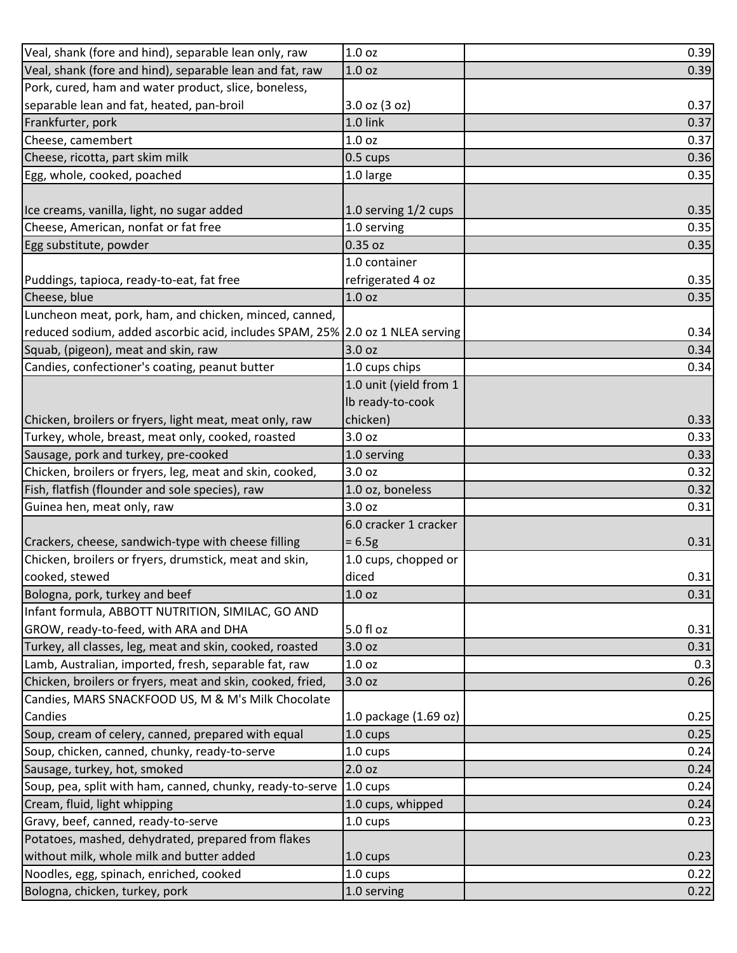| Veal, shank (fore and hind), separable lean only, raw                         | 1.0 <sub>oz</sub>      | 0.39 |
|-------------------------------------------------------------------------------|------------------------|------|
| Veal, shank (fore and hind), separable lean and fat, raw                      | 1.0 <sub>oz</sub>      | 0.39 |
| Pork, cured, ham and water product, slice, boneless,                          |                        |      |
| separable lean and fat, heated, pan-broil                                     | $3.0$ oz $(3$ oz)      | 0.37 |
| Frankfurter, pork                                                             | 1.0 link               | 0.37 |
| Cheese, camembert                                                             | 1.0 <sub>oz</sub>      | 0.37 |
| Cheese, ricotta, part skim milk                                               | 0.5 cups               | 0.36 |
| Egg, whole, cooked, poached                                                   | 1.0 large              | 0.35 |
|                                                                               |                        |      |
| Ice creams, vanilla, light, no sugar added                                    | 1.0 serving 1/2 cups   | 0.35 |
| Cheese, American, nonfat or fat free                                          | 1.0 serving            | 0.35 |
| Egg substitute, powder                                                        | 0.35 oz                | 0.35 |
|                                                                               | 1.0 container          |      |
| Puddings, tapioca, ready-to-eat, fat free                                     | refrigerated 4 oz      | 0.35 |
| Cheese, blue                                                                  | 1.0 <sub>oz</sub>      | 0.35 |
| Luncheon meat, pork, ham, and chicken, minced, canned,                        |                        |      |
| reduced sodium, added ascorbic acid, includes SPAM, 25% 2.0 oz 1 NLEA serving |                        | 0.34 |
| Squab, (pigeon), meat and skin, raw                                           | 3.0 oz                 | 0.34 |
| Candies, confectioner's coating, peanut butter                                | 1.0 cups chips         | 0.34 |
|                                                                               | 1.0 unit (yield from 1 |      |
|                                                                               | Ib ready-to-cook       |      |
| Chicken, broilers or fryers, light meat, meat only, raw                       | chicken)               | 0.33 |
| Turkey, whole, breast, meat only, cooked, roasted                             | 3.0 oz                 | 0.33 |
| Sausage, pork and turkey, pre-cooked                                          | 1.0 serving            | 0.33 |
| Chicken, broilers or fryers, leg, meat and skin, cooked,                      | 3.0 oz                 | 0.32 |
| Fish, flatfish (flounder and sole species), raw                               | 1.0 oz, boneless       | 0.32 |
| Guinea hen, meat only, raw                                                    | 3.0 oz                 | 0.31 |
|                                                                               | 6.0 cracker 1 cracker  |      |
| Crackers, cheese, sandwich-type with cheese filling                           | $= 6.5g$               | 0.31 |
| Chicken, broilers or fryers, drumstick, meat and skin,                        | 1.0 cups, chopped or   |      |
| cooked, stewed                                                                | diced                  | 0.31 |
| Bologna, pork, turkey and beef                                                | 1.0 oz                 | 0.31 |
| Infant formula, ABBOTT NUTRITION, SIMILAC, GO AND                             |                        |      |
| GROW, ready-to-feed, with ARA and DHA                                         | 5.0 fl oz              | 0.31 |
| Turkey, all classes, leg, meat and skin, cooked, roasted                      | 3.0 oz                 | 0.31 |
| Lamb, Australian, imported, fresh, separable fat, raw                         | 1.0 <sub>oz</sub>      | 0.3  |
| Chicken, broilers or fryers, meat and skin, cooked, fried,                    | 3.0 oz                 | 0.26 |
| Candies, MARS SNACKFOOD US, M & M's Milk Chocolate                            |                        |      |
| Candies                                                                       | 1.0 package (1.69 oz)  | 0.25 |
| Soup, cream of celery, canned, prepared with equal                            | $1.0 \text{ cups}$     | 0.25 |
| Soup, chicken, canned, chunky, ready-to-serve                                 | $1.0 \text{ cups}$     | 0.24 |
| Sausage, turkey, hot, smoked                                                  | 2.0 oz                 | 0.24 |
| Soup, pea, split with ham, canned, chunky, ready-to-serve                     | 1.0 cups               | 0.24 |
| Cream, fluid, light whipping                                                  | 1.0 cups, whipped      | 0.24 |
| Gravy, beef, canned, ready-to-serve                                           | 1.0 cups               | 0.23 |
| Potatoes, mashed, dehydrated, prepared from flakes                            |                        |      |
| without milk, whole milk and butter added                                     | 1.0 cups               | 0.23 |
| Noodles, egg, spinach, enriched, cooked                                       | 1.0 cups               | 0.22 |
| Bologna, chicken, turkey, pork                                                | 1.0 serving            | 0.22 |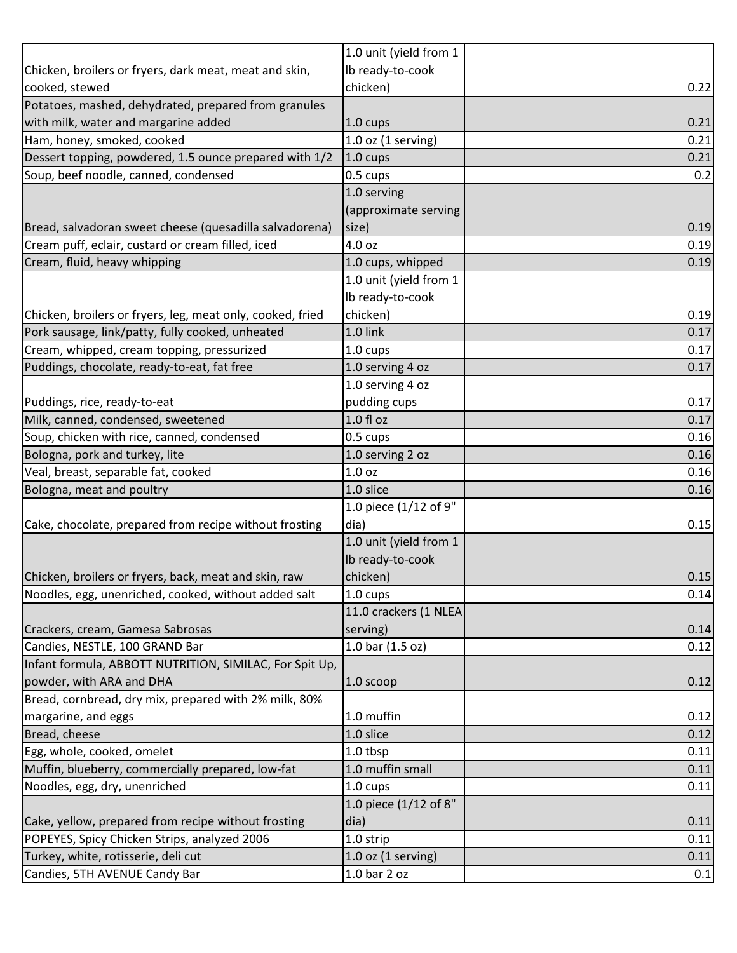|                                                            | 1.0 unit (yield from 1 |      |
|------------------------------------------------------------|------------------------|------|
| Chicken, broilers or fryers, dark meat, meat and skin,     | Ib ready-to-cook       |      |
| cooked, stewed                                             | chicken)               | 0.22 |
| Potatoes, mashed, dehydrated, prepared from granules       |                        |      |
| with milk, water and margarine added                       | 1.0 cups               | 0.21 |
| Ham, honey, smoked, cooked                                 | $1.0$ oz $(1$ serving) | 0.21 |
| Dessert topping, powdered, 1.5 ounce prepared with 1/2     | 1.0 cups               | 0.21 |
| Soup, beef noodle, canned, condensed                       | 0.5 cups               | 0.2  |
|                                                            | 1.0 serving            |      |
|                                                            | (approximate serving   |      |
| Bread, salvadoran sweet cheese (quesadilla salvadorena)    | size)                  | 0.19 |
| Cream puff, eclair, custard or cream filled, iced          | 4.0 oz                 | 0.19 |
| Cream, fluid, heavy whipping                               | 1.0 cups, whipped      | 0.19 |
|                                                            | 1.0 unit (yield from 1 |      |
|                                                            | Ib ready-to-cook       |      |
| Chicken, broilers or fryers, leg, meat only, cooked, fried | chicken)               | 0.19 |
| Pork sausage, link/patty, fully cooked, unheated           | 1.0 link               | 0.17 |
| Cream, whipped, cream topping, pressurized                 | 1.0 cups               | 0.17 |
| Puddings, chocolate, ready-to-eat, fat free                | 1.0 serving 4 oz       | 0.17 |
|                                                            | 1.0 serving 4 oz       |      |
| Puddings, rice, ready-to-eat                               | pudding cups           | 0.17 |
| Milk, canned, condensed, sweetened                         | 1.0 fl oz              | 0.17 |
| Soup, chicken with rice, canned, condensed                 | 0.5 cups               | 0.16 |
| Bologna, pork and turkey, lite                             | 1.0 serving 2 oz       | 0.16 |
| Veal, breast, separable fat, cooked                        | 1.0 <sub>oz</sub>      | 0.16 |
| Bologna, meat and poultry                                  | 1.0 slice              | 0.16 |
|                                                            | 1.0 piece (1/12 of 9"  |      |
| Cake, chocolate, prepared from recipe without frosting     | dia)                   | 0.15 |
|                                                            | 1.0 unit (yield from 1 |      |
|                                                            | Ib ready-to-cook       |      |
| Chicken, broilers or fryers, back, meat and skin, raw      | chicken)               | 0.15 |
| Noodles, egg, unenriched, cooked, without added salt       | $1.0 \text{ cups}$     | 0.14 |
|                                                            | 11.0 crackers (1 NLEA  |      |
| Crackers, cream, Gamesa Sabrosas                           | serving)               | 0.14 |
| Candies, NESTLE, 100 GRAND Bar                             | 1.0 bar (1.5 oz)       | 0.12 |
| Infant formula, ABBOTT NUTRITION, SIMILAC, For Spit Up,    |                        |      |
| powder, with ARA and DHA                                   | 1.0 scoop              | 0.12 |
| Bread, cornbread, dry mix, prepared with 2% milk, 80%      |                        |      |
| margarine, and eggs                                        | 1.0 muffin             | 0.12 |
| Bread, cheese                                              | 1.0 slice              | 0.12 |
| Egg, whole, cooked, omelet                                 | 1.0 tbsp               | 0.11 |
| Muffin, blueberry, commercially prepared, low-fat          | 1.0 muffin small       | 0.11 |
| Noodles, egg, dry, unenriched                              | 1.0 cups               | 0.11 |
|                                                            | 1.0 piece (1/12 of 8"  |      |
| Cake, yellow, prepared from recipe without frosting        | dia)                   | 0.11 |
| POPEYES, Spicy Chicken Strips, analyzed 2006               | 1.0 strip              | 0.11 |
| Turkey, white, rotisserie, deli cut                        | $1.0$ oz (1 serving)   | 0.11 |
| Candies, 5TH AVENUE Candy Bar                              | 1.0 bar 2 oz           | 0.1  |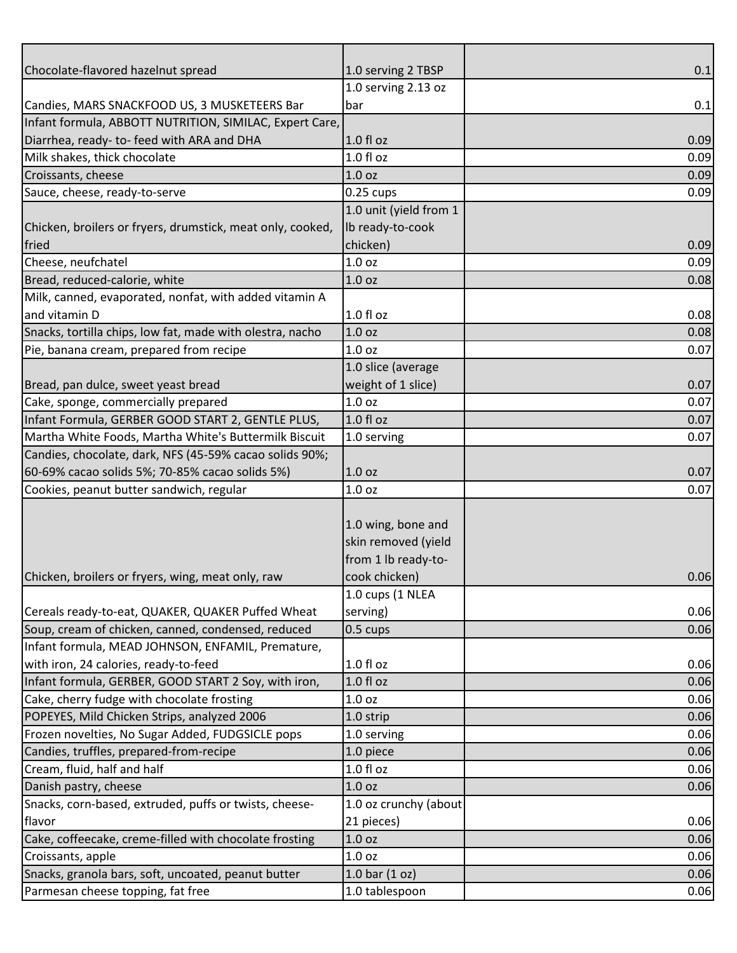| Chocolate-flavored hazelnut spread                         | 1.0 serving 2 TBSP     | 0.1  |
|------------------------------------------------------------|------------------------|------|
|                                                            | 1.0 serving 2.13 oz    |      |
| Candies, MARS SNACKFOOD US, 3 MUSKETEERS Bar               | bar                    | 0.1  |
| Infant formula, ABBOTT NUTRITION, SIMILAC, Expert Care,    |                        |      |
| Diarrhea, ready- to-feed with ARA and DHA                  | $1.0 f$ l oz           | 0.09 |
| Milk shakes, thick chocolate                               | $1.0f$ l oz            | 0.09 |
| Croissants, cheese                                         | 1.0 <sub>oz</sub>      | 0.09 |
| Sauce, cheese, ready-to-serve                              | $0.25$ cups            | 0.09 |
|                                                            | 1.0 unit (yield from 1 |      |
| Chicken, broilers or fryers, drumstick, meat only, cooked, | Ib ready-to-cook       |      |
| fried                                                      | chicken)               | 0.09 |
| Cheese, neufchatel                                         | 1.0 oz                 | 0.09 |
| Bread, reduced-calorie, white                              | 1.0 oz                 | 0.08 |
| Milk, canned, evaporated, nonfat, with added vitamin A     |                        |      |
| and vitamin D                                              | $1.0 f$ l oz           | 0.08 |
| Snacks, tortilla chips, low fat, made with olestra, nacho  | 1.0 <sub>oz</sub>      | 0.08 |
| Pie, banana cream, prepared from recipe                    | 1.0 <sub>oz</sub>      | 0.07 |
|                                                            | 1.0 slice (average     |      |
| Bread, pan dulce, sweet yeast bread                        | weight of 1 slice)     | 0.07 |
| Cake, sponge, commercially prepared                        | 1.0 <sub>oz</sub>      | 0.07 |
| Infant Formula, GERBER GOOD START 2, GENTLE PLUS,          | 1.0 fl oz              | 0.07 |
| Martha White Foods, Martha White's Buttermilk Biscuit      | 1.0 serving            | 0.07 |
| Candies, chocolate, dark, NFS (45-59% cacao solids 90%;    |                        |      |
| 60-69% cacao solids 5%; 70-85% cacao solids 5%)            | 1.0 <sub>oz</sub>      | 0.07 |
| Cookies, peanut butter sandwich, regular                   | 1.0 <sub>oz</sub>      | 0.07 |
|                                                            |                        |      |
|                                                            | 1.0 wing, bone and     |      |
|                                                            | skin removed (yield    |      |
|                                                            | from 1 lb ready-to-    |      |
| Chicken, broilers or fryers, wing, meat only, raw          | cook chicken)          | 0.06 |
|                                                            | 1.0 cups (1 NLEA       |      |
| Cereals ready-to-eat, QUAKER, QUAKER Puffed Wheat          | serving)               | 0.06 |
| Soup, cream of chicken, canned, condensed, reduced         | 0.5 cups               | 0.06 |
| Infant formula, MEAD JOHNSON, ENFAMIL, Premature,          |                        |      |
| with iron, 24 calories, ready-to-feed                      | $1.0 f$ l oz           | 0.06 |
| Infant formula, GERBER, GOOD START 2 Soy, with iron,       | $1.0 f$ l oz           | 0.06 |
| Cake, cherry fudge with chocolate frosting                 | 1.0 <sub>oz</sub>      | 0.06 |
| POPEYES, Mild Chicken Strips, analyzed 2006                | 1.0 strip              | 0.06 |
| Frozen novelties, No Sugar Added, FUDGSICLE pops           | 1.0 serving            | 0.06 |
| Candies, truffles, prepared-from-recipe                    | 1.0 piece              | 0.06 |
| Cream, fluid, half and half                                | $1.0 f$ l oz           | 0.06 |
| Danish pastry, cheese                                      | 1.0 <sub>oz</sub>      | 0.06 |
| Snacks, corn-based, extruded, puffs or twists, cheese-     | 1.0 oz crunchy (about  |      |
| flavor                                                     | 21 pieces)             | 0.06 |
| Cake, coffeecake, creme-filled with chocolate frosting     | 1.0 <sub>oz</sub>      | 0.06 |
| Croissants, apple                                          | 1.0 oz                 | 0.06 |
| Snacks, granola bars, soft, uncoated, peanut butter        | $1.0$ bar $(1$ oz)     | 0.06 |
| Parmesan cheese topping, fat free                          | 1.0 tablespoon         | 0.06 |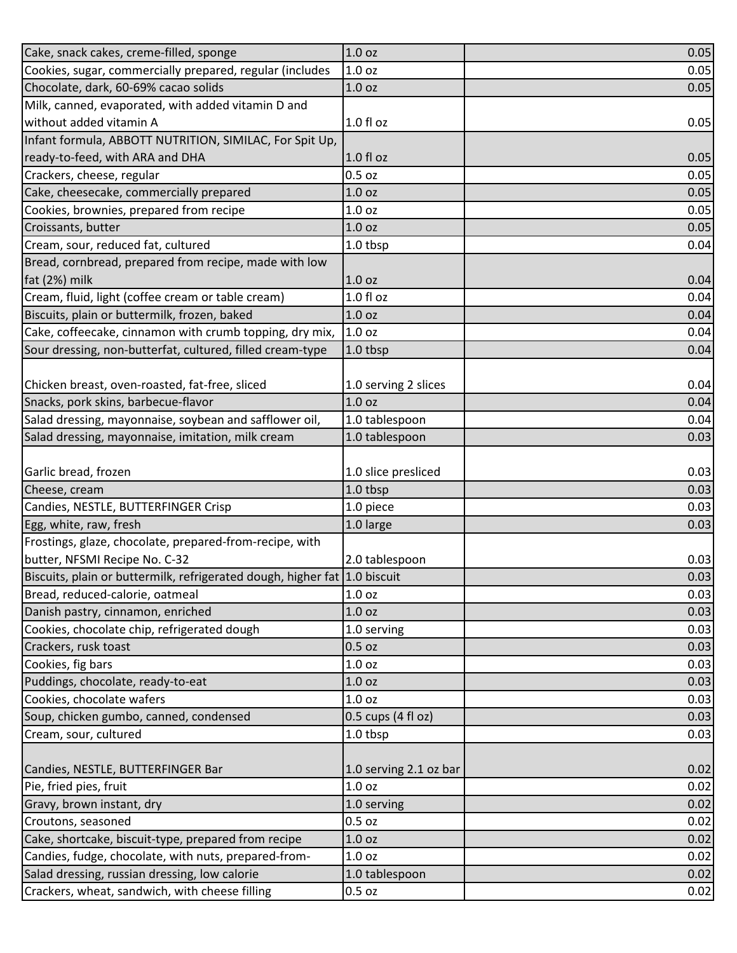| Cake, snack cakes, creme-filled, sponge                                   | 1.0 <sub>oz</sub>      | 0.05 |
|---------------------------------------------------------------------------|------------------------|------|
| Cookies, sugar, commercially prepared, regular (includes                  | 1.0 <sub>oz</sub>      | 0.05 |
| Chocolate, dark, 60-69% cacao solids                                      | 1.0 <sub>oz</sub>      | 0.05 |
| Milk, canned, evaporated, with added vitamin D and                        |                        |      |
| without added vitamin A                                                   | $1.0 f$ l oz           | 0.05 |
| Infant formula, ABBOTT NUTRITION, SIMILAC, For Spit Up,                   |                        |      |
| ready-to-feed, with ARA and DHA                                           | $1.0 f$ l oz           | 0.05 |
| Crackers, cheese, regular                                                 | $0.5$ oz               | 0.05 |
| Cake, cheesecake, commercially prepared                                   | 1.0 <sub>oz</sub>      | 0.05 |
| Cookies, brownies, prepared from recipe                                   | 1.0 <sub>oz</sub>      | 0.05 |
| Croissants, butter                                                        | 1.0 <sub>oz</sub>      | 0.05 |
| Cream, sour, reduced fat, cultured                                        | 1.0 tbsp               | 0.04 |
| Bread, cornbread, prepared from recipe, made with low                     |                        |      |
| fat (2%) milk                                                             | 1.0 <sub>oz</sub>      | 0.04 |
| Cream, fluid, light (coffee cream or table cream)                         | $1.0f$ l oz            | 0.04 |
| Biscuits, plain or buttermilk, frozen, baked                              | 1.0 <sub>oz</sub>      | 0.04 |
| Cake, coffeecake, cinnamon with crumb topping, dry mix,                   | 1.0 <sub>oz</sub>      | 0.04 |
| Sour dressing, non-butterfat, cultured, filled cream-type                 | $1.0$ tbsp             | 0.04 |
|                                                                           |                        |      |
| Chicken breast, oven-roasted, fat-free, sliced                            | 1.0 serving 2 slices   | 0.04 |
| Snacks, pork skins, barbecue-flavor                                       | 1.0 <sub>oz</sub>      | 0.04 |
| Salad dressing, mayonnaise, soybean and safflower oil,                    | 1.0 tablespoon         | 0.04 |
| Salad dressing, mayonnaise, imitation, milk cream                         | 1.0 tablespoon         | 0.03 |
|                                                                           |                        |      |
| Garlic bread, frozen                                                      | 1.0 slice presliced    | 0.03 |
| Cheese, cream                                                             | 1.0 tbsp               | 0.03 |
| Candies, NESTLE, BUTTERFINGER Crisp                                       | 1.0 piece              | 0.03 |
| Egg, white, raw, fresh                                                    | 1.0 large              | 0.03 |
| Frostings, glaze, chocolate, prepared-from-recipe, with                   |                        |      |
| butter, NFSMI Recipe No. C-32                                             | 2.0 tablespoon         | 0.03 |
| Biscuits, plain or buttermilk, refrigerated dough, higher fat 1.0 biscuit |                        | 0.03 |
| Bread, reduced-calorie, oatmeal                                           | 1.0 <sub>oz</sub>      | 0.03 |
| Danish pastry, cinnamon, enriched                                         | 1.0 <sub>oz</sub>      | 0.03 |
| Cookies, chocolate chip, refrigerated dough                               | 1.0 serving            | 0.03 |
| Crackers, rusk toast                                                      | $0.5$ oz               | 0.03 |
| Cookies, fig bars                                                         | 1.0 <sub>oz</sub>      | 0.03 |
| Puddings, chocolate, ready-to-eat                                         | 1.0 oz                 | 0.03 |
| Cookies, chocolate wafers                                                 | 1.0 <sub>oz</sub>      | 0.03 |
| Soup, chicken gumbo, canned, condensed                                    | $0.5$ cups (4 fl oz)   | 0.03 |
| Cream, sour, cultured                                                     | 1.0 tbsp               | 0.03 |
|                                                                           |                        |      |
| Candies, NESTLE, BUTTERFINGER Bar                                         | 1.0 serving 2.1 oz bar | 0.02 |
| Pie, fried pies, fruit                                                    | 1.0 <sub>oz</sub>      | 0.02 |
| Gravy, brown instant, dry                                                 | 1.0 serving            | 0.02 |
| Croutons, seasoned                                                        | $0.5$ oz               | 0.02 |
| Cake, shortcake, biscuit-type, prepared from recipe                       | 1.0 <sub>oz</sub>      | 0.02 |
| Candies, fudge, chocolate, with nuts, prepared-from-                      | 1.0 <sub>oz</sub>      | 0.02 |
| Salad dressing, russian dressing, low calorie                             | 1.0 tablespoon         | 0.02 |
| Crackers, wheat, sandwich, with cheese filling                            | 0.5 oz                 | 0.02 |